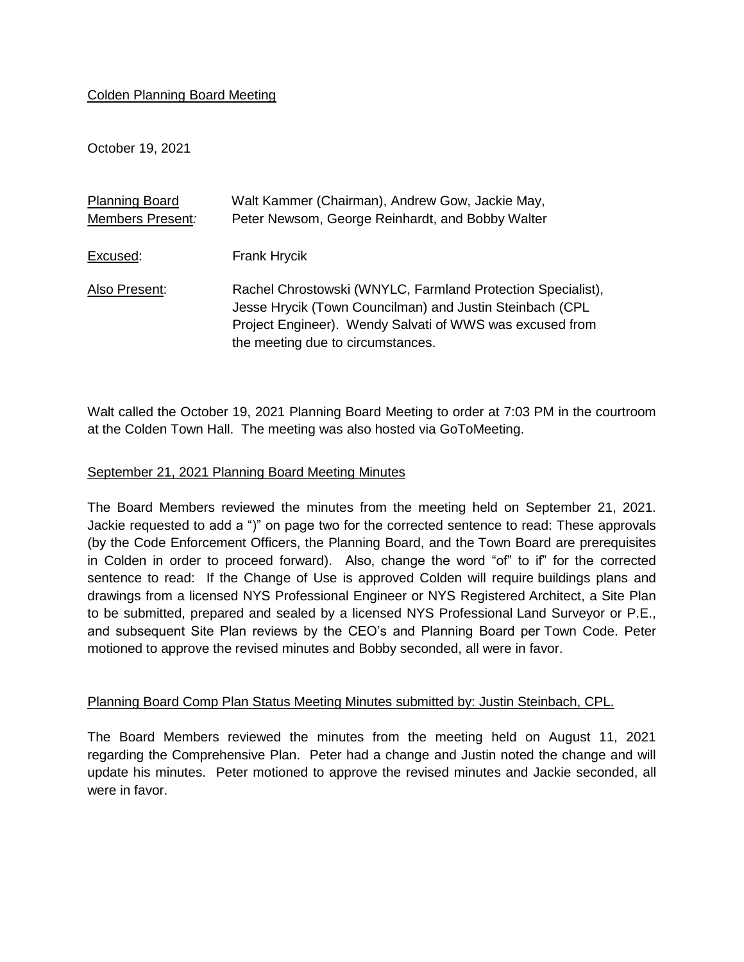### Colden Planning Board Meeting

October 19, 2021

| <b>Planning Board</b> | Walt Kammer (Chairman), Andrew Gow, Jackie May,                                                                                                                                                                          |
|-----------------------|--------------------------------------------------------------------------------------------------------------------------------------------------------------------------------------------------------------------------|
| Members Present:      | Peter Newsom, George Reinhardt, and Bobby Walter                                                                                                                                                                         |
| Excused:              | <b>Frank Hrycik</b>                                                                                                                                                                                                      |
| Also Present:         | Rachel Chrostowski (WNYLC, Farmland Protection Specialist),<br>Jesse Hrycik (Town Councilman) and Justin Steinbach (CPL<br>Project Engineer). Wendy Salvati of WWS was excused from<br>the meeting due to circumstances. |

Walt called the October 19, 2021 Planning Board Meeting to order at 7:03 PM in the courtroom at the Colden Town Hall. The meeting was also hosted via GoToMeeting.

#### September 21, 2021 Planning Board Meeting Minutes

The Board Members reviewed the minutes from the meeting held on September 21, 2021. Jackie requested to add a ")" on page two for the corrected sentence to read: These approvals (by the Code Enforcement Officers, the Planning Board, and the Town Board are prerequisites in Colden in order to proceed forward). Also, change the word "of" to if" for the corrected sentence to read: If the Change of Use is approved Colden will require buildings plans and drawings from a licensed NYS Professional Engineer or NYS Registered Architect, a Site Plan to be submitted, prepared and sealed by a licensed NYS Professional Land Surveyor or P.E., and subsequent Site Plan reviews by the CEO's and Planning Board per Town Code. Peter motioned to approve the revised minutes and Bobby seconded, all were in favor.

### Planning Board Comp Plan Status Meeting Minutes submitted by: Justin Steinbach, CPL.

The Board Members reviewed the minutes from the meeting held on August 11, 2021 regarding the Comprehensive Plan. Peter had a change and Justin noted the change and will update his minutes. Peter motioned to approve the revised minutes and Jackie seconded, all were in favor.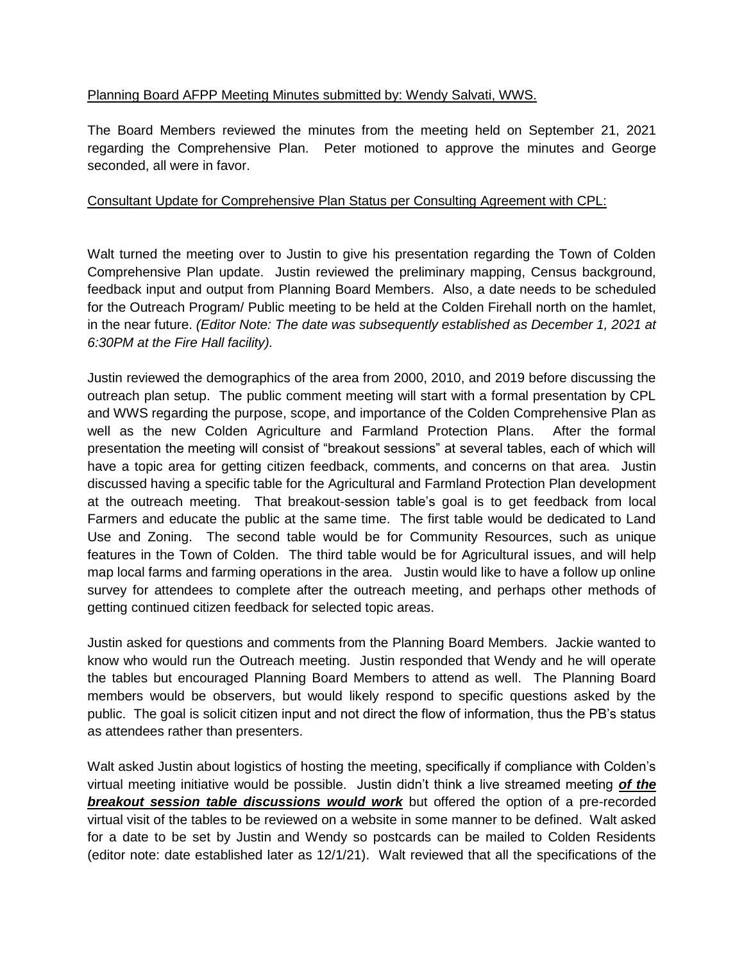# Planning Board AFPP Meeting Minutes submitted by: Wendy Salvati, WWS.

The Board Members reviewed the minutes from the meeting held on September 21, 2021 regarding the Comprehensive Plan. Peter motioned to approve the minutes and George seconded, all were in favor.

### Consultant Update for Comprehensive Plan Status per Consulting Agreement with CPL:

Walt turned the meeting over to Justin to give his presentation regarding the Town of Colden Comprehensive Plan update. Justin reviewed the preliminary mapping, Census background, feedback input and output from Planning Board Members. Also, a date needs to be scheduled for the Outreach Program/ Public meeting to be held at the Colden Firehall north on the hamlet, in the near future. *(Editor Note: The date was subsequently established as December 1, 2021 at 6:30PM at the Fire Hall facility).*

Justin reviewed the demographics of the area from 2000, 2010, and 2019 before discussing the outreach plan setup. The public comment meeting will start with a formal presentation by CPL and WWS regarding the purpose, scope, and importance of the Colden Comprehensive Plan as well as the new Colden Agriculture and Farmland Protection Plans. After the formal presentation the meeting will consist of "breakout sessions" at several tables, each of which will have a topic area for getting citizen feedback, comments, and concerns on that area. Justin discussed having a specific table for the Agricultural and Farmland Protection Plan development at the outreach meeting. That breakout-session table's goal is to get feedback from local Farmers and educate the public at the same time. The first table would be dedicated to Land Use and Zoning. The second table would be for Community Resources, such as unique features in the Town of Colden. The third table would be for Agricultural issues, and will help map local farms and farming operations in the area. Justin would like to have a follow up online survey for attendees to complete after the outreach meeting, and perhaps other methods of getting continued citizen feedback for selected topic areas.

Justin asked for questions and comments from the Planning Board Members. Jackie wanted to know who would run the Outreach meeting. Justin responded that Wendy and he will operate the tables but encouraged Planning Board Members to attend as well. The Planning Board members would be observers, but would likely respond to specific questions asked by the public. The goal is solicit citizen input and not direct the flow of information, thus the PB's status as attendees rather than presenters.

Walt asked Justin about logistics of hosting the meeting, specifically if compliance with Colden's virtual meeting initiative would be possible. Justin didn't think a live streamed meeting *of the breakout session table discussions would work* but offered the option of a pre-recorded virtual visit of the tables to be reviewed on a website in some manner to be defined. Walt asked for a date to be set by Justin and Wendy so postcards can be mailed to Colden Residents (editor note: date established later as 12/1/21). Walt reviewed that all the specifications of the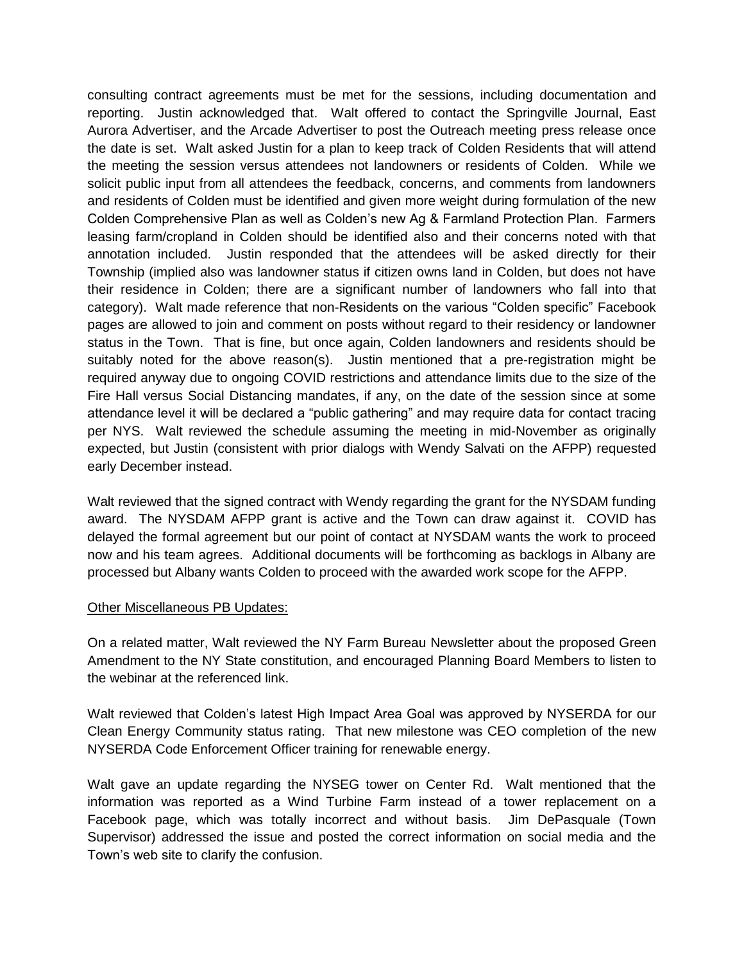consulting contract agreements must be met for the sessions, including documentation and reporting. Justin acknowledged that. Walt offered to contact the Springville Journal, East Aurora Advertiser, and the Arcade Advertiser to post the Outreach meeting press release once the date is set. Walt asked Justin for a plan to keep track of Colden Residents that will attend the meeting the session versus attendees not landowners or residents of Colden. While we solicit public input from all attendees the feedback, concerns, and comments from landowners and residents of Colden must be identified and given more weight during formulation of the new Colden Comprehensive Plan as well as Colden's new Ag & Farmland Protection Plan. Farmers leasing farm/cropland in Colden should be identified also and their concerns noted with that annotation included. Justin responded that the attendees will be asked directly for their Township (implied also was landowner status if citizen owns land in Colden, but does not have their residence in Colden; there are a significant number of landowners who fall into that category). Walt made reference that non-Residents on the various "Colden specific" Facebook pages are allowed to join and comment on posts without regard to their residency or landowner status in the Town. That is fine, but once again, Colden landowners and residents should be suitably noted for the above reason(s). Justin mentioned that a pre-registration might be required anyway due to ongoing COVID restrictions and attendance limits due to the size of the Fire Hall versus Social Distancing mandates, if any, on the date of the session since at some attendance level it will be declared a "public gathering" and may require data for contact tracing per NYS. Walt reviewed the schedule assuming the meeting in mid-November as originally expected, but Justin (consistent with prior dialogs with Wendy Salvati on the AFPP) requested early December instead.

Walt reviewed that the signed contract with Wendy regarding the grant for the NYSDAM funding award. The NYSDAM AFPP grant is active and the Town can draw against it. COVID has delayed the formal agreement but our point of contact at NYSDAM wants the work to proceed now and his team agrees. Additional documents will be forthcoming as backlogs in Albany are processed but Albany wants Colden to proceed with the awarded work scope for the AFPP.

### Other Miscellaneous PB Updates:

On a related matter, Walt reviewed the NY Farm Bureau Newsletter about the proposed Green Amendment to the NY State constitution, and encouraged Planning Board Members to listen to the webinar at the referenced link.

Walt reviewed that Colden's latest High Impact Area Goal was approved by NYSERDA for our Clean Energy Community status rating. That new milestone was CEO completion of the new NYSERDA Code Enforcement Officer training for renewable energy.

Walt gave an update regarding the NYSEG tower on Center Rd. Walt mentioned that the information was reported as a Wind Turbine Farm instead of a tower replacement on a Facebook page, which was totally incorrect and without basis. Jim DePasquale (Town Supervisor) addressed the issue and posted the correct information on social media and the Town's web site to clarify the confusion.